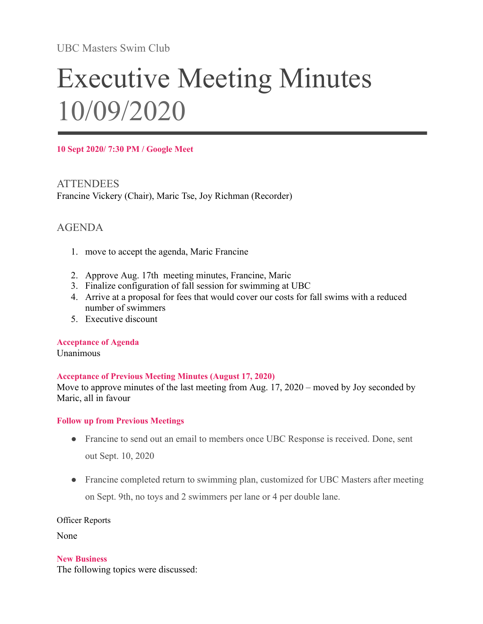UBC Masters Swim Club

# Executive Meeting Minutes 10/09/2020

**10 Sept 2020/ 7:30 PM / Google Meet**

**ATTENDEES** Francine Vickery (Chair), Maric Tse, Joy Richman (Recorder)

# AGENDA

- 1. move to accept the agenda, Maric Francine
- 2. Approve Aug. 17th meeting minutes, Francine, Maric
- 3. Finalize configuration of fall session for swimming at UBC
- 4. Arrive at a proposal for fees that would cover our costs for fall swims with a reduced number of swimmers
- 5. Executive discount

**Acceptance of Agenda**

Unanimous

#### **Acceptance of Previous Meeting Minutes (August 17, 2020)**

Move to approve minutes of the last meeting from Aug. 17, 2020 – moved by Joy seconded by Maric, all in favour

#### **Follow up from Previous Meetings**

- Francine to send out an email to members once UBC Response is received. Done, sent out Sept. 10, 2020
- Francine completed return to swimming plan, customized for UBC Masters after meeting on Sept. 9th, no toys and 2 swimmers per lane or 4 per double lane.

Officer Reports

None

**New Business**

The following topics were discussed: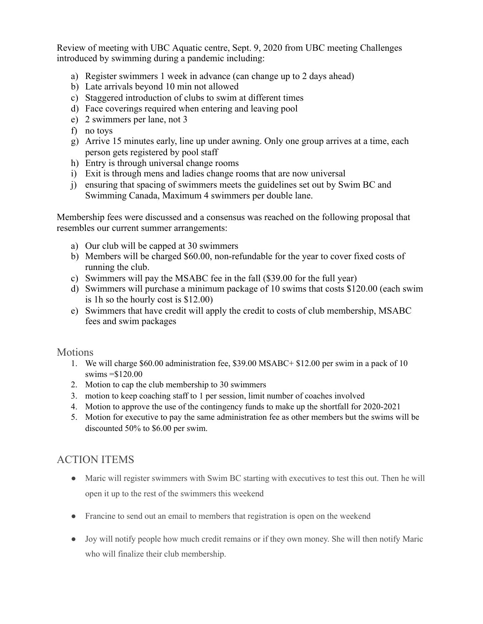Review of meeting with UBC Aquatic centre, Sept. 9, 2020 from UBC meeting Challenges introduced by swimming during a pandemic including:

- a) Register swimmers 1 week in advance (can change up to 2 days ahead)
- b) Late arrivals beyond 10 min not allowed
- c) Staggered introduction of clubs to swim at different times
- d) Face coverings required when entering and leaving pool
- e) 2 swimmers per lane, not 3
- f) no toys
- g) Arrive 15 minutes early, line up under awning. Only one group arrives at a time, each person gets registered by pool staff
- h) Entry is through universal change rooms
- i) Exit is through mens and ladies change rooms that are now universal
- j) ensuring that spacing of swimmers meets the guidelines set out by Swim BC and Swimming Canada, Maximum 4 swimmers per double lane.

Membership fees were discussed and a consensus was reached on the following proposal that resembles our current summer arrangements:

- a) Our club will be capped at 30 swimmers
- b) Members will be charged \$60.00, non-refundable for the year to cover fixed costs of running the club.
- c) Swimmers will pay the MSABC fee in the fall (\$39.00 for the full year)
- d) Swimmers will purchase a minimum package of 10 swims that costs \$120.00 (each swim is 1h so the hourly cost is \$12.00)
- e) Swimmers that have credit will apply the credit to costs of club membership, MSABC fees and swim packages

### Motions

- 1. We will charge \$60.00 administration fee, \$39.00 MSABC+ \$12.00 per swim in a pack of 10 swims =\$120.00
- 2. Motion to cap the club membership to 30 swimmers
- 3. motion to keep coaching staff to 1 per session, limit number of coaches involved
- 4. Motion to approve the use of the contingency funds to make up the shortfall for 2020-2021
- 5. Motion for executive to pay the same administration fee as other members but the swims will be discounted 50% to \$6.00 per swim.

## ACTION ITEMS

- Maric will register swimmers with Swim BC starting with executives to test this out. Then he will open it up to the rest of the swimmers this weekend
- Francine to send out an email to members that registration is open on the weekend
- Joy will notify people how much credit remains or if they own money. She will then notify Maric who will finalize their club membership.